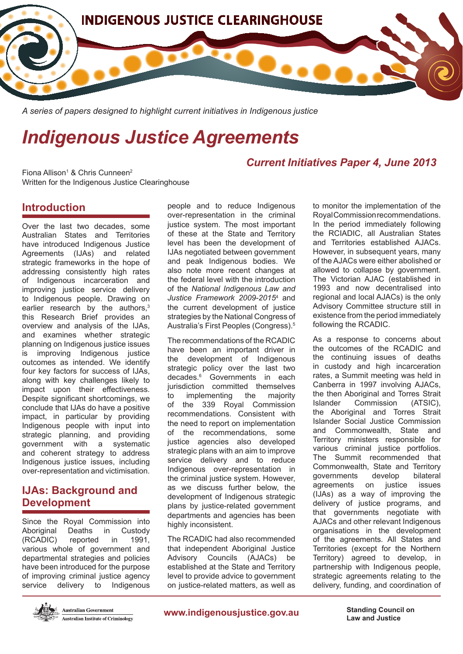

*A series of papers designed to highlight current initiatives in Indigenous justice*

# *Indigenous Justice Agreements*

Fiona Allison<sup>1</sup> & Chris Cunneen<sup>2</sup> Written for the Indigenous Justice Clearinghouse

## **Introduction**

Over the last two decades, some Australian States and Territories have introduced Indigenous Justice Agreements (IJAs) and related strategic frameworks in the hope of addressing consistently high rates of Indigenous incarceration and improving justice service delivery to Indigenous people. Drawing on earlier research by the authors,<sup>3</sup> this Research Brief provides an overview and analysis of the IJAs, and examines whether strategic planning on Indigenous justice issues is improving Indigenous justice outcomes as intended. We identify four key factors for success of IJAs, along with key challenges likely to impact upon their effectiveness. Despite significant shortcomings, we conclude that IJAs do have a positive impact, in particular by providing Indigenous people with input into strategic planning, and providing government with a systematic and coherent strategy to address Indigenous justice issues, including over-representation and victimisation.

# **IJAs: Background and Development**

Since the Royal Commission into Aboriginal Deaths in Custody (RCADIC) reported in 1991, various whole of government and departmental strategies and policies have been introduced for the purpose of improving criminal justice agency service delivery to Indigenous



**Australian Government Australian Institute of Criminology**  people and to reduce Indigenous over-representation in the criminal justice system. The most important of these at the State and Territory level has been the development of IJAs negotiated between government and peak Indigenous bodies. We also note more recent changes at the federal level with the introduction of the *National Indigenous Law and Justice Framework 2009-2015*<sup>4</sup> and the current development of justice strategies by the National Congress of Australia's First Peoples (Congress).5

The recommendations of the RCADIC have been an important driver in the development of Indigenous strategic policy over the last two decades.6 Governments in each jurisdiction committed themselves to implementing the majority of the 339 Royal Commission recommendations. Consistent with the need to report on implementation of the recommendations, some justice agencies also developed strategic plans with an aim to improve service delivery and to reduce Indigenous over-representation in the criminal justice system. However, as we discuss further below, the development of Indigenous strategic plans by justice-related government departments and agencies has been highly inconsistent.

The RCADIC had also recommended that independent Aboriginal Justice Advisory Councils (AJACs) be established at the State and Territory level to provide advice to government on justice-related matters, as well as to monitor the implementation of the Royal Commission recommendations. In the period immediately following the RCIADIC, all Australian States and Territories established AJACs. However, in subsequent years, many of the AJACs were either abolished or allowed to collapse by government. The Victorian AJAC (established in 1993 and now decentralised into regional and local AJACs) is the only

Advisory Committee structure still in existence from the period immediately

following the RCADIC.

*Current Initiatives Paper 4, June 2013*

As a response to concerns about the outcomes of the RCADIC and the continuing issues of deaths in custody and high incarceration rates, a Summit meeting was held in Canberra in 1997 involving AJACs, the then Aboriginal and Torres Strait Islander Commission (ATSIC), the Aboriginal and Torres Strait Islander Social Justice Commission and Commonwealth, State and Territory ministers responsible for various criminal justice portfolios. The Summit recommended that Commonwealth, State and Territory governments develop bilateral agreements on justice issues (IJAs) as a way of improving the delivery of justice programs, and that governments negotiate with AJACs and other relevant Indigenous organisations in the development of the agreements. All States and Territories (except for the Northern Territory) agreed to develop, in partnership with Indigenous people, strategic agreements relating to the delivery, funding, and coordination of

**www.indigenousjustice.gov.au Standing Council on** 

**Law and Justice**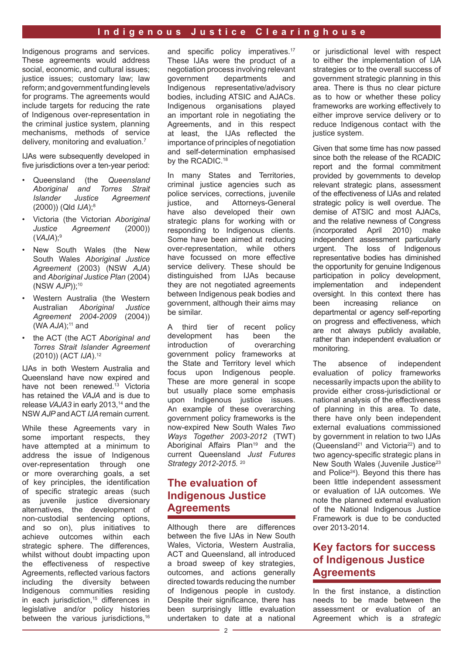Indigenous programs and services. These agreements would address social, economic, and cultural issues; justice issues; customary law; law reform; and government funding levels for programs. The agreements would include targets for reducing the rate of Indigenous over-representation in the criminal justice system, planning mechanisms, methods of service delivery, monitoring and evaluation.7

IJAs were subsequently developed in five jurisdictions over a ten-year period:

- Queensland (the *Queensland Aboriginal and Torres Strait Islander Justice Agreement*  (2000)) (Qld *IJA*);8
- Victoria (the Victorian *Aboriginal Justice Agreement* (2000)) (*VAJA*);9
- New South Wales (the New South Wales *Aboriginal Justice Agreement* (2003) (NSW *AJA*) and *Aboriginal Justice Plan* (2004) (NSW *AJP*));10
- Western Australia (the Western Australian *Aboriginal Justice Agreement 2004-2009* (2004))  $(WA AJA)$ ;<sup>11</sup> and
- the ACT (the ACT *Aboriginal and Torres Strait Islander Agreement*  (2010)) (ACT *IJA*).12

IJAs in both Western Australia and Queensland have now expired and have not been renewed.<sup>13</sup> Victoria has retained the *VAJA* and is due to release *VAJA3* in early 2013.<sup>14</sup> and the NSW *AJP* and ACT *IJA* remain current.

While these Agreements vary in some important respects, they have attempted at a minimum to address the issue of Indigenous over-representation through one or more overarching goals, a set of key principles, the identification of specific strategic areas (such as juvenile justice diversionary alternatives, the development of non-custodial sentencing options, and so on), plus initiatives to achieve outcomes within each strategic sphere. The differences, whilst without doubt impacting upon the effectiveness of respective Agreements, reflected various factors including the diversity between Indigenous communities residing in each jurisdiction,<sup>15</sup> differences in legislative and/or policy histories between the various jurisdictions.<sup>16</sup>

and specific policy imperatives.<sup>17</sup> These IJAs were the product of a negotiation process involving relevant government departments and Indigenous representative/advisory bodies, including ATSIC and AJACs. Indigenous organisations played an important role in negotiating the Agreements, and in this respect at least, the IJAs reflected the importance of principles of negotiation and self-determination emphasised by the RCADIC.<sup>18</sup>

In many States and Territories, criminal justice agencies such as police services, corrections, juvenile justice, and Attorneys-General have also developed their own strategic plans for working with or responding to Indigenous clients. Some have been aimed at reducing over-representation, while others have focussed on more effective service delivery. These should be distinguished from IJAs because they are not negotiated agreements between Indigenous peak bodies and government, although their aims may be similar.

A third tier of recent policy development has been the introduction of overarching government policy frameworks at the State and Territory level which focus upon Indigenous people. These are more general in scope but usually place some emphasis upon Indigenous justice issues. An example of these overarching government policy frameworks is the now-expired New South Wales *Two Ways Together 2003-2012* (TWT) Aboriginal Affairs Plan<sup>19</sup> and the current Queensland *Just Futures Strategy 2012-2015.* 20

# **The evaluation of Indigenous Justice Agreements**

Although there are differences between the five IJAs in New South Wales, Victoria, Western Australia, ACT and Queensland, all introduced a broad sweep of key strategies, outcomes, and actions generally directed towards reducing the number of Indigenous people in custody. Despite their significance, there has been surprisingly little evaluation undertaken to date at a national

or jurisdictional level with respect to either the implementation of IJA strategies or to the overall success of government strategic planning in this area. There is thus no clear picture as to how or whether these policy frameworks are working effectively to either improve service delivery or to reduce Indigenous contact with the justice system.

Given that some time has now passed since both the release of the RCADIC report and the formal commitment provided by governments to develop relevant strategic plans, assessment of the effectiveness of IJAs and related strategic policy is well overdue. The demise of ATSIC and most AJACs, and the relative newness of Congress (incorporated April 2010) make independent assessment particularly urgent. The loss of Indigenous representative bodies has diminished the opportunity for genuine Indigenous participation in policy development, implementation and independent oversight. In this context there has been increasing reliance on departmental or agency self-reporting on progress and effectiveness, which are not always publicly available, rather than independent evaluation or monitoring.

The absence of independent evaluation of policy frameworks necessarily impacts upon the ability to provide either cross-jurisdictional or national analysis of the effectiveness of planning in this area. To date, there have only been independent external evaluations commissioned by government in relation to two IJAs (Queensland<sup>21</sup> and Victoria<sup>22</sup>) and to two agency-specific strategic plans in New South Wales (Juvenile Justice<sup>23</sup> and Police24). Beyond this there has been little independent assessment or evaluation of IJA outcomes. We note the planned external evaluation of the National Indigenous Justice Framework is due to be conducted over 2013-2014.

# **Key factors for success of Indigenous Justice Agreements**

In the first instance, a distinction needs to be made between the assessment or evaluation of an Agreement which is a *strategic*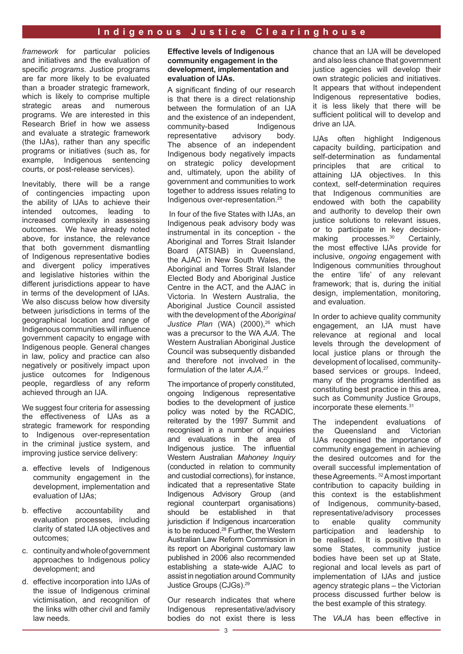*framework* for particular policies and initiatives and the evaluation of specific *programs*. Justice programs are far more likely to be evaluated than a broader strategic framework, which is likely to comprise multiple strategic areas and numerous programs. We are interested in this Research Brief in how we assess and evaluate a strategic framework (the IJAs), rather than any specific programs or initiatives (such as, for example, Indigenous sentencing courts, or post-release services).

Inevitably, there will be a range of contingencies impacting upon the ability of IJAs to achieve their intended outcomes, leading to increased complexity in assessing outcomes. We have already noted above, for instance, the relevance that both government dismantling of Indigenous representative bodies and divergent policy imperatives and legislative histories within the different jurisdictions appear to have in terms of the development of IJAs. We also discuss below how diversity between jurisdictions in terms of the geographical location and range of Indigenous communities will influence government capacity to engage with Indigenous people. General changes in law, policy and practice can also negatively or positively impact upon justice outcomes for Indigenous people, regardless of any reform achieved through an IJA.

We suggest four criteria for assessing the effectiveness of IJAs as a strategic framework for responding to Indigenous over-representation in the criminal justice system, and improving justice service delivery:

- a. effective levels of Indigenous community engagement in the development, implementation and evaluation of IJAs;
- b. effective accountability and evaluation processes, including clarity of stated IJA objectives and outcomes;
- c. continuity and whole of government approaches to Indigenous policy development; and
- d. effective incorporation into IJAs of the issue of Indigenous criminal victimisation, and recognition of the links with other civil and family law needs.

#### **Effective levels of Indigenous community engagement in the development, implementation and evaluation of IJAs.**

A significant finding of our research is that there is a direct relationship between the formulation of an IJA and the existence of an independent, community-based Indigenous representative advisory body. The absence of an independent Indigenous body negatively impacts on strategic policy development and, ultimately, upon the ability of government and communities to work together to address issues relating to Indigenous over-representation.25

In four of the five States with IJAs, an Indigenous peak advisory body was instrumental in its conception - the Aboriginal and Torres Strait Islander Board (ATSIAB) in Queensland, the AJAC in New South Wales, the Aboriginal and Torres Strait Islander Elected Body and Aboriginal Justice Centre in the ACT, and the AJAC in Victoria. In Western Australia, the Aboriginal Justice Council assisted with the development of the *Aboriginal*  Justice Plan (WA) (2000),<sup>26</sup> which was a precursor to the WA *AJA*. The Western Australian Aboriginal Justice Council was subsequently disbanded and therefore not involved in the formulation of the later *AJA*. 27

The importance of properly constituted, ongoing Indigenous representative bodies to the development of justice policy was noted by the RCADIC, reiterated by the 1997 Summit and recognised in a number of inquiries and evaluations in the area of Indigenous justice. The influential Western Australian *Mahoney Inquiry* (conducted in relation to community and custodial corrections), for instance, indicated that a representative State Indigenous Advisory Group (and regional counterpart organisations) should be established in that jurisdiction if Indigenous incarceration is to be reduced.<sup>28</sup> Further, the Western Australian Law Reform Commission in its report on Aboriginal customary law published in 2006 also recommended establishing a state-wide AJAC to assist in negotiation around Community Justice Groups (CJGs).29

Our research indicates that where Indigenous representative/advisory bodies do not exist there is less

chance that an IJA will be developed and also less chance that government justice agencies will develop their own strategic policies and initiatives. It appears that without independent Indigenous representative bodies, it is less likely that there will be sufficient political will to develop and drive an IJA.

IJAs often highlight Indigenous capacity building, participation and self-determination as fundamental principles that are critical to attaining IJA objectives. In this context, self-determination requires that Indigenous communities are endowed with both the capability and authority to develop their own justice solutions to relevant issues. or to participate in key decisionmaking processes.<sup>30</sup> Certainly, the most effective IJAs provide for inclusive, *ongoing* engagement with Indigenous communities throughout the entire 'life' of any relevant framework; that is, during the initial design, implementation, monitoring, and evaluation.

In order to achieve quality community engagement, an IJA must have relevance at regional and local levels through the development of local justice plans or through the development of localised, communitybased services or groups. Indeed, many of the programs identified as constituting best practice in this area, such as Community Justice Groups, incorporate these elements.31

The independent evaluations of the Queensland and Victorian IJAs recognised the importance of community engagement in achieving the desired outcomes and for the overall successful implementation of these Agreements. 32 A most important contribution to capacity building in this context is the establishment of Indigenous, community-based, representative/advisory processes to enable quality community participation and leadership to be realised. It is positive that in some States, community justice bodies have been set up at State, regional and local levels as part of implementation of IJAs and justice agency strategic plans – the Victorian process discussed further below is the best example of this strategy.

The *VAJA* has been effective in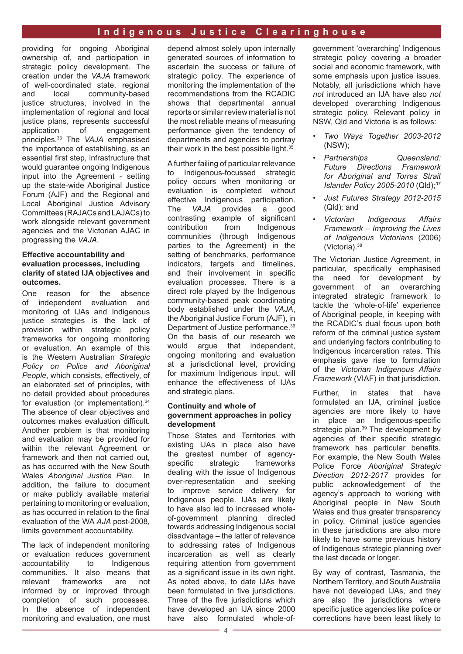providing for ongoing Aboriginal ownership of, and participation in strategic policy development. The creation under the *VAJA* framework of well-coordinated state, regional and local community-based justice structures, involved in the implementation of regional and local justice plans, represents successful application of engagement principles.33 The *VAJA* emphasised the importance of establishing, as an essential first step, infrastructure that would guarantee ongoing Indigenous input into the Agreement - setting up the state-wide Aboriginal Justice Forum (AJF) and the Regional and Local Aboriginal Justice Advisory Committees (RAJACs and LAJACs) to work alongside relevant government agencies and the Victorian AJAC in progressing the *VAJA*.

#### **Effective accountability and evaluation processes, including clarity of stated IJA objectives and outcomes.**

One reason for the absence of independent evaluation and monitoring of IJAs and Indigenous justice strategies is the lack of provision within strategic policy frameworks for ongoing monitoring or evaluation. An example of this is the Western Australian *Strategic Policy on Police and Aboriginal People*, which consists, effectively, of an elaborated set of principles, with no detail provided about procedures for evaluation (or implementation).<sup>34</sup> The absence of clear objectives and outcomes makes evaluation difficult. Another problem is that monitoring and evaluation may be provided for within the relevant Agreement or framework and then not carried out, as has occurred with the New South Wales *Aboriginal Justice Plan*. In addition, the failure to document or make publicly available material pertaining to monitoring or evaluation, as has occurred in relation to the final evaluation of the WA *AJA* post-2008, limits government accountability.

The lack of independent monitoring or evaluation reduces government accountability to Indigenous communities. It also means that relevant frameworks are not informed by or improved through completion of such processes. In the absence of independent monitoring and evaluation, one must depend almost solely upon internally generated sources of information to ascertain the success or failure of strategic policy. The experience of monitoring the implementation of the recommendations from the RCADIC shows that departmental annual reports or similar review material is not the most reliable means of measuring performance given the tendency of departments and agencies to portray their work in the best possible light.35

A further failing of particular relevance to Indigenous-focussed strategic policy occurs when monitoring or evaluation is completed without effective Indigenous participation. The *VAJA* provides a good contrasting example of significant contribution from Indigenous communities (through Indigenous parties to the Agreement) in the setting of benchmarks, performance indicators, targets and timelines, and their involvement in specific evaluation processes. There is a direct role played by the Indigenous community-based peak coordinating body established under the *VAJA*, the Aboriginal Justice Forum (AJF), in Department of Justice performance.<sup>36</sup> On the basis of our research we would argue that independent, ongoing monitoring and evaluation at a jurisdictional level, providing for maximum Indigenous input, will enhance the effectiveness of IJAs and strategic plans.

#### **Continuity and whole of government approaches in policy development**

Those States and Territories with existing IJAs in place also have the greatest number of agencyspecific strategic frameworks dealing with the issue of Indigenous over-representation and seeking to improve service delivery for Indigenous people. IJAs are likely to have also led to increased wholeof-government planning directed towards addressing Indigenous social disadvantage – the latter of relevance to addressing rates of Indigenous incarceration as well as clearly requiring attention from government as a significant issue in its own right. As noted above, to date IJAs have been formulated in five jurisdictions. Three of the five jurisdictions which have developed an IJA since 2000 have also formulated whole-ofgovernment 'overarching' Indigenous strategic policy covering a broader social and economic framework, with some emphasis upon justice issues. Notably, all jurisdictions which have *not* introduced an IJA have also *not*  developed overarching Indigenous strategic policy. Relevant policy in NSW, Qld and Victoria is as follows:

- *• Two Ways Together 2003-2012* (NSW);
- *• Partnerships Queensland: Future Directions Framework for Aboriginal and Torres Strait Islander Policy 2005-2010* (Qld);*<sup>37</sup>*
- *• Just Futures Strategy 2012-2015*  (Qld)*;* and
- *• Victorian Indigenous Affairs Framework – Improving the Lives of Indigenous Victorians* (2006) (Victoria).38

The Victorian Justice Agreement, in particular, specifically emphasised the need for development by government of an overarching integrated strategic framework to tackle the 'whole-of-life' experience of Aboriginal people, in keeping with the RCADIC's dual focus upon both reform of the criminal justice system and underlying factors contributing to Indigenous incarceration rates. This emphasis gave rise to formulation of the *Victorian Indigenous Affairs Framework* (VIAF) in that jurisdiction.

Further, in states that have formulated an IJA, criminal justice agencies are more likely to have in place an Indigenous-specific strategic plan.<sup>39</sup> The development by agencies of their specific strategic framework has particular benefits. For example, the New South Wales Police Force *Aboriginal Strategic Direction 2012-2017* provides for public acknowledgement of the agency's approach to working with Aboriginal people in New South Wales and thus greater transparency in policy. Criminal justice agencies in these jurisdictions are also more likely to have some previous history of Indigenous strategic planning over the last decade or longer.

By way of contrast, Tasmania, the Northern Territory, and South Australia have not developed IJAs, and they are also the jurisdictions where specific justice agencies like police or corrections have been least likely to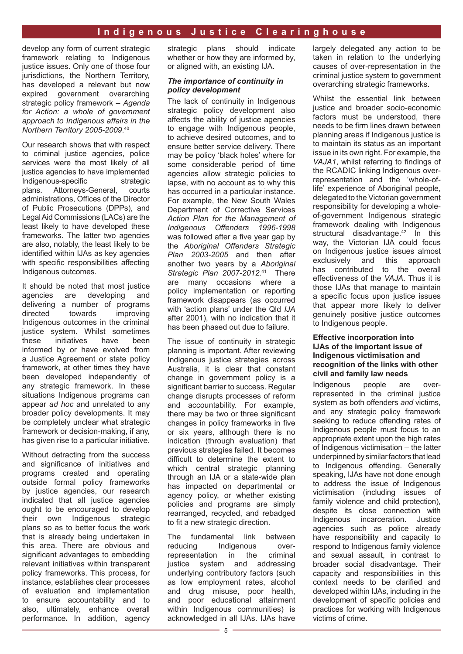develop any form of current strategic framework relating to Indigenous justice issues. Only one of those four jurisdictions, the Northern Territory, has developed a relevant but now expired government overarching strategic policy framework – *Agenda for Action: a whole of government approach to Indigenous affairs in the Northern Territory 2005-2009*. 40

Our research shows that with respect to criminal justice agencies, police services were the most likely of all justice agencies to have implemented Indigenous-specific strategic plans. Attorneys-General, courts administrations, Offices of the Director of Public Prosecutions (DPPs), and Legal Aid Commissions (LACs) are the least likely to have developed these frameworks. The latter two agencies are also, notably, the least likely to be identified within IJAs as key agencies with specific responsibilities affecting Indigenous outcomes.

It should be noted that most justice agencies are developing and delivering a number of programs directed towards improving Indigenous outcomes in the criminal justice system. Whilst sometimes these initiatives have been informed by or have evolved from a Justice Agreement or state policy framework, at other times they have been developed independently of any strategic framework. In these situations Indigenous programs can appear *ad hoc* and unrelated to any broader policy developments. It may be completely unclear what strategic framework or decision-making, if any, has given rise to a particular initiative.

Without detracting from the success and significance of initiatives and programs created and operating outside formal policy frameworks by justice agencies, our research indicated that all justice agencies ought to be encouraged to develop their own Indigenous strategic plans so as to better focus the work that is already being undertaken in this area. There are obvious and significant advantages to embedding relevant initiatives within transparent policy frameworks. This process, for instance, establishes clear processes of evaluation and implementation to ensure accountability and to also, ultimately, enhance overall performance**.** In addition, agency

strategic plans should indicate whether or how they are informed by. or aligned with, an existing IJA.

#### *The importance of continuity in policy development*

The lack of continuity in Indigenous strategic policy development also affects the ability of justice agencies to engage with Indigenous people, to achieve desired outcomes, and to ensure better service delivery. There may be policy 'black holes' where for some considerable period of time agencies allow strategic policies to lapse, with no account as to why this has occurred in a particular instance. For example, the New South Wales Department of Corrective Services *Action Plan for the Management of Indigenous Offenders 1996-1998* was followed after a five year gap by the *Aboriginal Offenders Strategic Plan 2003-2005* and then after another two years by a *Aboriginal Strategic Plan 2007-2012.*41 There are many occasions where a policy implementation or reporting framework disappears (as occurred with 'action plans' under the Qld *IJA* after 2001), with no indication that it has been phased out due to failure.

The issue of continuity in strategic planning is important. After reviewing Indigenous justice strategies across Australia, it is clear that constant change in government policy is a significant barrier to success. Regular change disrupts processes of reform and accountability. For example, there may be two or three significant changes in policy frameworks in five or six years, although there is no indication (through evaluation) that previous strategies failed. It becomes difficult to determine the extent to which central strategic planning through an IJA or a state-wide plan has impacted on departmental or agency policy, or whether existing policies and programs are simply rearranged, recycled, and rebadged to fit a new strategic direction.

The fundamental link between reducing Indigenous overrepresentation in the criminal justice system and addressing underlying contributory factors (such as low employment rates, alcohol and drug misuse, poor health, and poor educational attainment within Indigenous communities) is acknowledged in all IJAs. IJAs have largely delegated any action to be taken in relation to the underlying causes of over-representation in the criminal justice system to government overarching strategic frameworks.

Whilst the essential link between justice and broader socio-economic factors must be understood, there needs to be firm lines drawn between planning areas if Indigenous justice is to maintain its status as an important issue in its own right. For example, the *VAJA1*, whilst referring to findings of the RCADIC linking Indigenous overrepresentation and the 'whole-oflife' experience of Aboriginal people, delegated to the Victorian government responsibility for developing a wholeof-government Indigenous strategic framework dealing with Indigenous structural disadvantage.<sup>42</sup> In this way, the Victorian IJA could focus on Indigenous justice issues almost exclusively and this approach has contributed to the overall effectiveness of the *VAJA*. Thus it is those IJAs that manage to maintain a specific focus upon justice issues that appear more likely to deliver genuinely positive justice outcomes to Indigenous people.

#### **Effective incorporation into IJAs of the important issue of Indigenous victimisation and recognition of the links with other civil and family law needs**

Indigenous people are overrepresented in the criminal justice system as both offenders *and* victims, and any strategic policy framework seeking to reduce offending rates of Indigenous people must focus to an appropriate extent upon the high rates of Indigenous victimisation – the latter underpinned by similar factors that lead to Indigenous offending. Generally speaking, IJAs have not done enough to address the issue of Indigenous victimisation (including issues of family violence and child protection). despite its close connection with<br>Indigenous incarceration. Justice Indigenous incarceration. agencies such as police already have responsibility and capacity to respond to Indigenous family violence and sexual assault, in contrast to broader social disadvantage. Their capacity and responsibilities in this context needs to be clarified and developed within IJAs, including in the development of specific policies and practices for working with Indigenous victims of crime.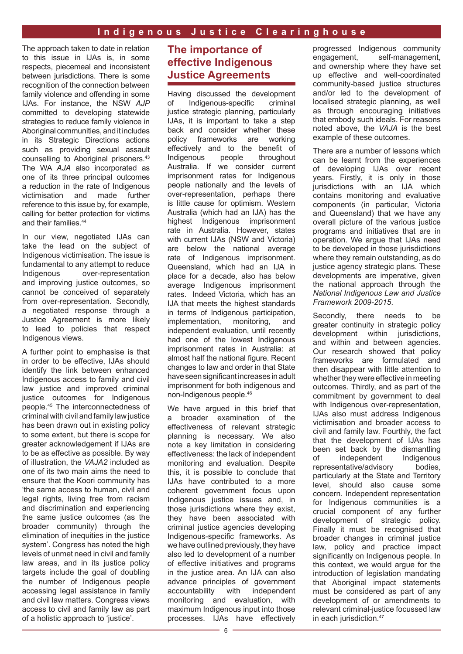The approach taken to date in relation to this issue in IJAs is, in some respects, piecemeal and inconsistent between jurisdictions. There is some recognition of the connection between family violence and offending in some IJAs. For instance, the NSW *AJP* committed to developing statewide strategies to reduce family violence in Aboriginal communities, and it includes in its Strategic Directions actions such as providing sexual assault counselling to Aboriginal prisoners.43 The WA *AJA* also incorporated as one of its three principal outcomes a reduction in the rate of Indigenous victimisation and made further reference to this issue by, for example, calling for better protection for victims and their families.44

In our view, negotiated IJAs can take the lead on the subject of Indigenous victimisation. The issue is fundamental to any attempt to reduce Indigenous over-representation and improving justice outcomes, so cannot be conceived of separately from over-representation. Secondly, a negotiated response through a Justice Agreement is more likely to lead to policies that respect Indigenous views.

A further point to emphasise is that in order to be effective, IJAs should identify the link between enhanced Indigenous access to family and civil law justice and improved criminal justice outcomes for Indigenous people.45 The interconnectedness of criminal with civil and family law justice has been drawn out in existing policy to some extent, but there is scope for greater acknowledgement if IJAs are to be as effective as possible. By way of illustration, the *VAJA2* included as one of its two main aims the need to ensure that the Koori community has 'the same access to human, civil and legal rights, living free from racism and discrimination and experiencing the same justice outcomes (as the broader community) through the elimination of inequities in the justice system'. Congress has noted the high levels of unmet need in civil and family law areas, and in its justice policy targets include the goal of doubling the number of Indigenous people accessing legal assistance in family and civil law matters. Congress views access to civil and family law as part of a holistic approach to 'justice'.

# **The importance of effective Indigenous Justice Agreements**

Having discussed the development of Indigenous-specific criminal justice strategic planning, particularly IJAs, it is important to take a step back and consider whether these policy frameworks are working effectively and to the benefit of Indigenous people throughout Australia. If we consider current imprisonment rates for Indigenous people nationally and the levels of over-representation, perhaps there is little cause for optimism. Western Australia (which had an IJA) has the highest Indigenous imprisonment rate in Australia. However, states with current IJAs (NSW and Victoria) are below the national average rate of Indigenous imprisonment. Queensland, which had an IJA in place for a decade, also has below average Indigenous imprisonment rates. Indeed Victoria, which has an IJA that meets the highest standards in terms of Indigenous participation, implementation, monitoring, and independent evaluation, until recently had one of the lowest Indigenous imprisonment rates in Australia: at almost half the national figure. Recent changes to law and order in that State have seen significant increases in adult imprisonment for both indigenous and non-Indigenous people.46

We have argued in this brief that a broader examination of the effectiveness of relevant strategic planning is necessary. We also note a key limitation in considering effectiveness: the lack of independent monitoring and evaluation. Despite this, it is possible to conclude that IJAs have contributed to a more coherent government focus upon Indigenous justice issues and, in those jurisdictions where they exist, they have been associated with criminal justice agencies developing Indigenous-specific frameworks. As we have outlined previously, they have also led to development of a number of effective initiatives and programs in the justice area. An IJA can also advance principles of government accountability with independent monitoring and evaluation, with maximum Indigenous input into those processes. IJAs have effectively progressed Indigenous community<br>engagement. self-management. self-management. and ownership where they have set up effective and well-coordinated community-based justice structures and/or led to the development of localised strategic planning, as well as through encouraging initiatives that embody such ideals. For reasons noted above, the *VAJA* is the best example of these outcomes.

There are a number of lessons which can be learnt from the experiences of developing IJAs over recent years. Firstly, it is only in those jurisdictions with an IJA which contains monitoring and evaluative components (in particular, Victoria and Queensland) that we have any overall picture of the various justice programs and initiatives that are in operation. We argue that IJAs need to be developed in those jurisdictions where they remain outstanding, as do justice agency strategic plans. These developments are imperative, given the national approach through the *National Indigenous Law and Justice Framework 2009-2015*.

Secondly, there needs to be greater continuity in strategic policy development within jurisdictions, and within and between agencies. Our research showed that policy frameworks are formulated and then disappear with little attention to whether they were effective in meeting outcomes. Thirdly, and as part of the commitment by government to deal with Indigenous over-representation. IJAs also must address Indigenous victimisation and broader access to civil and family law. Fourthly, the fact that the development of IJAs has been set back by the dismantling<br>of independent Indigenous of independent representative/advisory bodies, particularly at the State and Territory level, should also cause some concern. Independent representation for Indigenous communities is a crucial component of any further development of strategic policy. Finally it must be recognised that broader changes in criminal justice law, policy and practice impact significantly on Indigenous people. In this context, we would argue for the introduction of legislation mandating that Aboriginal impact statements must be considered as part of any development of or amendments to relevant criminal-justice focussed law in each jurisdiction.<sup>47</sup>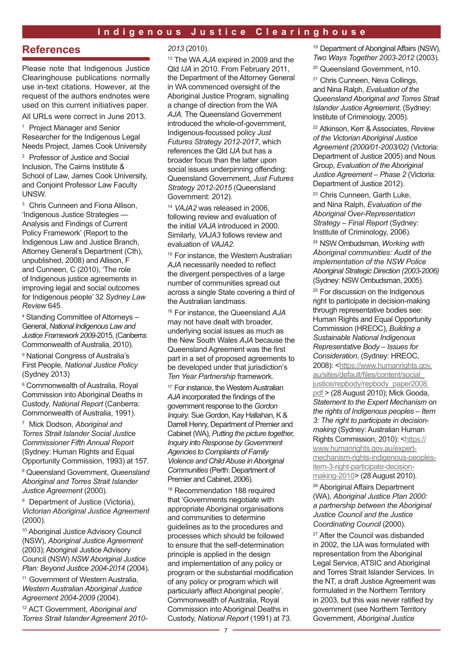## **References**

Please note that Indigenous Justice Clearinghouse publications normally use in-text citations. However, at the request of the authors endnotes were used on this current initiatives paper.

All URLs were correct in June 2013.

1 Project Manager and Senior Researcher for the Indigenous Legal Needs Project, James Cook University

2 Professor of Justice and Social Inclusion, The Cairns Institute & School of Law, James Cook University, and Conjoint Professor Law Faculty UNSW.

<sup>3</sup> Chris Cunneen and Fiona Allison, 'Indigenous Justice Strategies — Analysis and Findings of Current Policy Framework' (Report to the Indigenous Law and Justice Branch, Attorney General's Department (Cth), unpublished, 2008) and Allison, F and Cunneen, C (2010), 'The role of Indigenous justice agreements in improving legal and social outcomes for Indigenous people' 32 *Sydney Law Review* 645.

<sup>4</sup> Standing Committee of Attorneys – General, *National Indigenous Law and Justice Framework 2009-*2015, (Canberra: Commonwealth of Australia, 2010).

<sup>5</sup> National Congress of Australia's First People, *National Justice Policy* (Sydney 2013)

<sup>6</sup> Commonwealth of Australia, Royal Commission into Aboriginal Deaths in Custody, *National Report* (Canberra: Commonwealth of Australia, 1991).

7 Mick Dodson, *Aboriginal and Torres Strait Islander Social Justice Commissioner Fifth Annual Report* (Sydney: Human Rights and Equal Opportunity Commission, 1993) at 157.

8 Queensland Government, *Queensland Aboriginal and Torres Strait Islander Justice Agreement* (2000).

<sup>9</sup> Department of Justice (Victoria), *Victorian Aboriginal Justice Agreement* (2000).

10 Aboriginal Justice Advisory Council (NSW), *Aboriginal Justice Agreement* (2003); Aboriginal Justice Advisory Council (NSW) *NSW Aboriginal Justice Plan: Beyond Justice 2004-2014* (2004).

<sup>11</sup> Government of Western Australia, *Western Australian Aboriginal Justice Agreement 2004-2009* (2004).

12 ACT Government, *Aboriginal and Torres Strait Islander Agreement 2010-*

#### *2013* (2010).

13 The WA *AJA* expired in 2009 and the Qld *IJA* in 2010. From February 2011, the Department of the Attorney General in WA commenced oversight of the Aboriginal Justice Program, signalling a change of direction from the WA *AJA*. The Queensland Government introduced the whole-of-government, Indigenous-focussed policy *Just Futures Strategy 2012-2017*, which references the Qld *IJA* but has a broader focus than the latter upon social issues underpinning offending: Queensland Government, *Just Futures Strategy 2012-2015* (Queensland Government: 2012).

<sup>14</sup> *VAJA2* was released in 2006, following review and evaluation of the initial *VAJA* introduced in 2000. Similarly, *VAJA3* follows review and evaluation of *VAJA2.*

<sup>15</sup> For instance, the Western Australian *AJA* necessarily needed to reflect the divergent perspectives of a large number of communities spread out across a single State covering a third of the Australian landmass.

16 For instance, the Queensland *AJA* may not have dealt with broader, underlying social issues as much as the New South Wales *AJA* because the Queensland Agreement was the first part in a set of proposed agreements to be developed under that jurisdiction's *Ten Year Partnership* framework.

<sup>17</sup> For instance, the Western Australian *AJA* incorporated the findings of the government response to the *Gordon Inquiry*. Sue Gordon, Kay Hallahan, K & Darrell Henry, Department of Premier and Cabinet (WA), *Putting the picture together, Inquiry into Response by Government Agencies to Complaints of Family Violence and Child Abuse in Aboriginal Communities* (Perth: Department of Premier and Cabinet, 2006).

18 Recommendation 188 required that 'Governments negotiate with appropriate Aboriginal organisations and communities to determine guidelines as to the procedures and processes which should be followed to ensure that the self-determination principle is applied in the design and implementation of any policy or program or the substantial modification of any policy or program which will particularly affect Aboriginal people'. Commonwealth of Australia, Royal Commission into Aboriginal Deaths in Custody, *National Report* (1991) at 73.

<sup>19</sup> Department of Aboriginal Affairs (NSW). *Two Ways Together 2003-2012* (2003).

<sup>20</sup> Queensland Government, n10.

21 Chris Cunneen, Neva Collings, and Nina Ralph, *Evaluation of the Queensland Aboriginal and Torres Strait Islander Justice Agreement*, (Sydney: Institute of Criminology, 2005).

22 Atkinson, Kerr & Associates, *Review of the Victorian Aboriginal Justice Agreement (2000/01-2003/02)* (Victoria: Department of Justice 2005) and Nous Group, *Evaluation of the Aboriginal Justice Agreement – Phase 2* (Victoria: Department of Justice 2012).

<sup>23</sup> Chris Cunneen, Garth Luke, and Nina Ralph, *Evaluation of the Aboriginal Over-Representation Strategy – Final Report* (Sydney: Institute of Criminology, 2006).

24 NSW Ombudsman, *Working with Aboriginal communities: Audit of the implementation of the NSW Police Aboriginal Strategic Direction (2003-2006)* (Sydney: NSW Ombudsman, 2005).

<sup>25</sup> For discussion on the Indigenous right to participate in decision-making through representative bodies see: Human Rights and Equal Opportunity Commission (HREOC), *Building a Sustainable National Indigenous Representative Body – Issues for Consideration*, (Sydney: HREOC, 2008): [<https://www.humanrights.gov.](https://www.humanrights.gov.au/sites/default/files/content/social_justice/repbody/repbody_paper2008.pdf) [au/sites/default/files/content/social\\_](https://www.humanrights.gov.au/sites/default/files/content/social_justice/repbody/repbody_paper2008.pdf) [justice/repbody/repbody\\_paper2008.](https://www.humanrights.gov.au/sites/default/files/content/social_justice/repbody/repbody_paper2008.pdf) [pdf >](https://www.humanrights.gov.au/sites/default/files/content/social_justice/repbody/repbody_paper2008.pdf) (28 August 2010); Mick Gooda, *Statement to the Expert Mechanism on the rights of Indigenous peoples – Item 3: The right to participate in decisionmaking* (Sydney: Australian Human Rights Commission, 2010): <[https://](https://www.humanrights.gov.au/expert-mechanism-rights-indigenous-peoples-item-3-right-participate-decision-making-2010) [www.humanrights.gov.au/expert](https://www.humanrights.gov.au/expert-mechanism-rights-indigenous-peoples-item-3-right-participate-decision-making-2010)[mechanism-rights-indigenous-peoples](https://www.humanrights.gov.au/expert-mechanism-rights-indigenous-peoples-item-3-right-participate-decision-making-2010)[item-3-right-participate-decision](https://www.humanrights.gov.au/expert-mechanism-rights-indigenous-peoples-item-3-right-participate-decision-making-2010)[making-2010>](https://www.humanrights.gov.au/expert-mechanism-rights-indigenous-peoples-item-3-right-participate-decision-making-2010) (28 August 2010).

26 Aboriginal Affairs Department (WA), *Aboriginal Justice Plan 2000: a partnership between the Aboriginal Justice Council and the Justice Coordinating Council* (2000).

<sup>27</sup> After the Council was disbanded in 2002, the IJA was formulated with representation from the Aboriginal Legal Service, ATSIC and Aboriginal and Torres Strait Islander Services. In the NT, a draft Justice Agreement was formulated in the Northern Territory in 2003, but this was never ratified by government (see Northern Territory Government, *Aboriginal Justice*